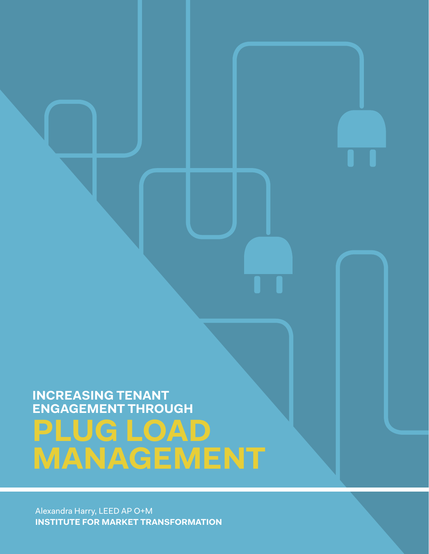# **INCREASING TENANT ENGAGEMENT THROUGH PLUG LOAD MANAGEMENT**

Alexandra Harry, LEED AP O+M **INSTITUTE FOR MARKET TRANSFORMATION**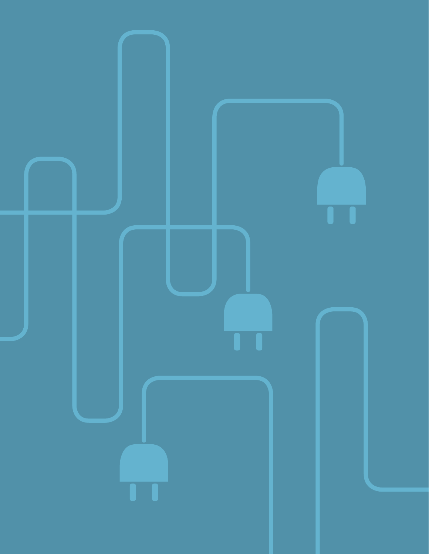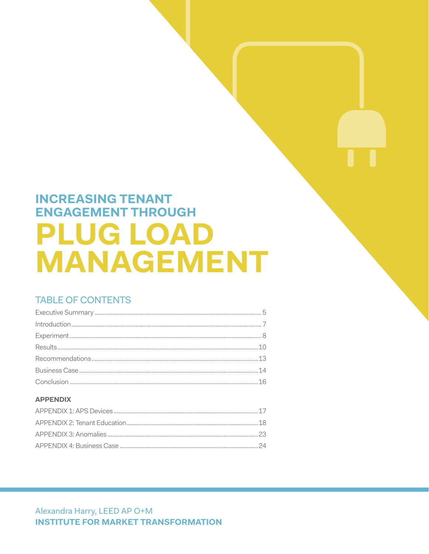# **INCREASING TENANT ENGAGEMENT THROUGH PLUG LOAD MANAGEMENT**

### **TABLE OF CONTENTS**

#### **APPENDIX**

### Alexandra Harry, LEED AP O+M **INSTITUTE FOR MARKET TRANSFORMATION**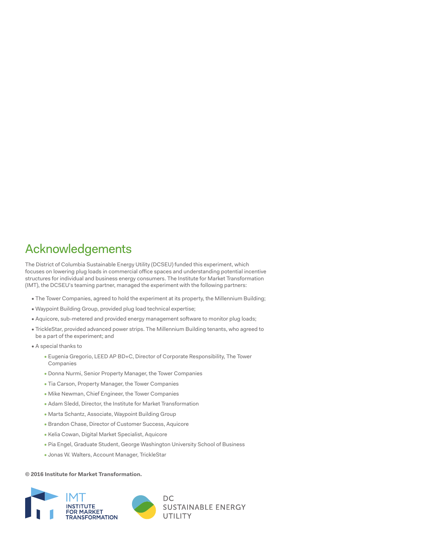## Acknowledgements

The District of Columbia Sustainable Energy Utility (DCSEU) funded this experiment, which focuses on lowering plug loads in commercial office spaces and understanding potential incentive structures for individual and business energy consumers. The Institute for Market Transformation (IMT), the DCSEU's teaming partner, managed the experiment with the following partners:

- The Tower Companies, agreed to hold the experiment at its property, the Millennium Building;
- Waypoint Building Group, provided plug load technical expertise;
- Aquicore, sub-metered and provided energy management software to monitor plug loads;
- TrickleStar, provided advanced power strips. The Millennium Building tenants, who agreed to be a part of the experiment; and
- A special thanks to
	- Eugenia Gregorio, LEED AP BD+C, Director of Corporate Responsibility, The Tower Companies
	- Donna Nurmi, Senior Property Manager, the Tower Companies
	- Tia Carson, Property Manager, the Tower Companies
	- Mike Newman, Chief Engineer, the Tower Companies
	- Adam Sledd, Director, the Institute for Market Transformation
	- Marta Schantz, Associate, Waypoint Building Group
	- Brandon Chase, Director of Customer Success, Aquicore
	- Kelia Cowan, Digital Market Specialist, Aquicore
	- Pia Engel, Graduate Student, George Washington University School of Business
	- Jonas W. Walters, Account Manager, TrickleStar

**© 2016 Institute for Market Transformation.**

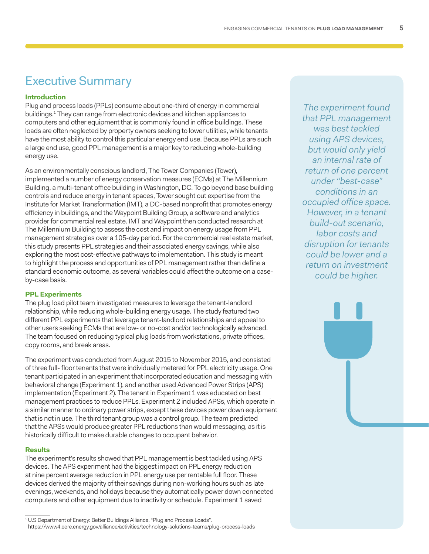### Executive Summary

#### **Introduction**

Plug and process loads (PPLs) consume about one-third of energy in commercial buildings.1 They can range from electronic devices and kitchen appliances to computers and other equipment that is commonly found in office buildings. These loads are often neglected by property owners seeking to lower utilities, while tenants have the most ability to control this particular energy end use. Because PPLs are such a large end use, good PPL management is a major key to reducing whole-building energy use.

As an environmentally conscious landlord, The Tower Companies (Tower), implemented a number of energy conservation measures (ECMs) at The Millennium Building, a multi-tenant office building in Washington, DC. To go beyond base building controls and reduce energy in tenant spaces, Tower sought out expertise from the Institute for Market Transformation (IMT), a DC-based nonprofit that promotes energy efficiency in buildings, and the Waypoint Building Group, a software and analytics provider for commercial real estate. IMT and Waypoint then conducted research at The Millennium Building to assess the cost and impact on energy usage from PPL management strategies over a 105-day period. For the commercial real estate market, this study presents PPL strategies and their associated energy savings, while also exploring the most cost-effective pathways to implementation. This study is meant to highlight the process and opportunities of PPL management rather than define a standard economic outcome, as several variables could affect the outcome on a caseby-case basis.

#### **PPL Experiments**

The plug load pilot team investigated measures to leverage the tenant-landlord relationship, while reducing whole-building energy usage. The study featured two different PPL experiments that leverage tenant-landlord relationships and appeal to other users seeking ECMs that are low- or no-cost and/or technologically advanced. The team focused on reducing typical plug loads from workstations, private offices, copy rooms, and break areas.

The experiment was conducted from August 2015 to November 2015, and consisted of three full- floor tenants that were individually metered for PPL electricity usage. One tenant participated in an experiment that incorporated education and messaging with behavioral change (Experiment 1), and another used Advanced Power Strips (APS) implementation (Experiment 2). The tenant in Experiment 1 was educated on best management practices to reduce PPLs. Experiment 2 included APSs, which operate in a similar manner to ordinary power strips, except these devices power down equipment that is not in use. The third tenant group was a control group. The team predicted that the APSs would produce greater PPL reductions than would messaging, as it is historically difficult to make durable changes to occupant behavior.

#### **Results**

The experiment's results showed that PPL management is best tackled using APS devices. The APS experiment had the biggest impact on PPL energy reduction at nine percent average reduction in PPL energy use per rentable full floor. These devices derived the majority of their savings during non-working hours such as late evenings, weekends, and holidays because they automatically power down connected computers and other equipment due to inactivity or schedule. Experiment 1 saved

*The experiment found that PPL management was best tackled using APS devices, but would only yield an internal rate of return of one percent under "best-case" conditions in an occupied office space. However, in a tenant build-out scenario, labor costs and disruption for tenants could be lower and a return on investment could be higher.* 

<sup>&</sup>lt;sup>1</sup> U.S Department of Energy: Better Buildings Alliance. "Plug and Process Loads". https://www4.eere.energy.gov/alliance/activities/technology-solutions-teams/plug-process-loads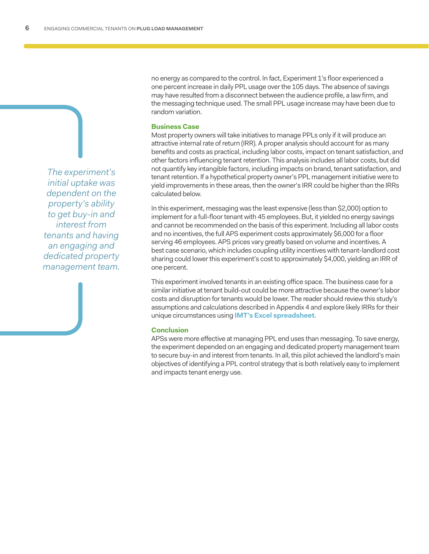*The experiment's initial uptake was dependent on the property's ability to get buy-in and interest from tenants and having an engaging and dedicated property management team.*  no energy as compared to the control. In fact, Experiment 1's floor experienced a one percent increase in daily PPL usage over the 105 days. The absence of savings may have resulted from a disconnect between the audience profile, a law firm, and the messaging technique used. The small PPL usage increase may have been due to random variation.

#### **Business Case**

Most property owners will take initiatives to manage PPLs only if it will produce an attractive internal rate of return (IRR). A proper analysis should account for as many benefits and costs as practical, including labor costs, impact on tenant satisfaction, and other factors influencing tenant retention. This analysis includes all labor costs, but did not quantify key intangible factors, including impacts on brand, tenant satisfaction, and tenant retention. If a hypothetical property owner's PPL management initiative were to yield improvements in these areas, then the owner's IRR could be higher than the IRRs calculated below.

In this experiment, messaging was the least expensive (less than \$2,000) option to implement for a full-floor tenant with 45 employees. But, it yielded no energy savings and cannot be recommended on the basis of this experiment. Including all labor costs and no incentives, the full APS experiment costs approximately \$6,000 for a floor serving 46 employees. APS prices vary greatly based on volume and incentives. A best case scenario, which includes coupling utility incentives with tenant-landlord cost sharing could lower this experiment's cost to approximately \$4,000, yielding an IRR of one percent.

This experiment involved tenants in an existing office space. The business case for a similar initiative at tenant build-out could be more attractive because the owner's labor costs and disruption for tenants would be lower. The reader should review this study's assumptions and calculations described in Appendix 4 and explore likely IRRs for their unique circumstances using **IMT's Excel spreadsheet**.

#### **Conclusion**

APSs were more effective at managing PPL end uses than messaging. To save energy, the experiment depended on an engaging and dedicated property management team to secure buy-in and interest from tenants. In all, this pilot achieved the landlord's main objectives of identifying a PPL control strategy that is both relatively easy to implement and impacts tenant energy use.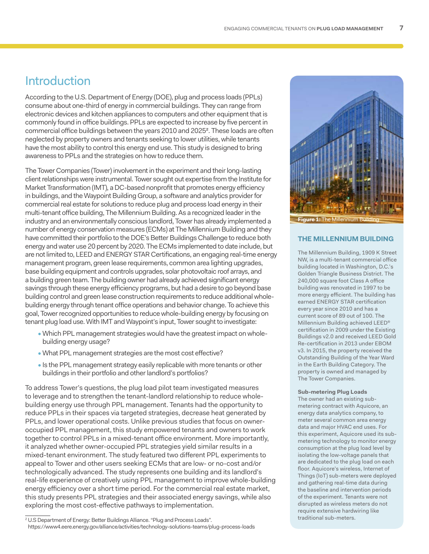## **Introduction**

According to the U.S. Department of Energy (DOE), plug and process loads (PPLs) consume about one-third of energy in commercial buildings. They can range from electronic devices and kitchen appliances to computers and other equipment that is commonly found in office buildings. PPLs are expected to increase by five percent in commercial office buildings between the years 2010 and 20252. These loads are often neglected by property owners and tenants seeking to lower utilities, while tenants have the most ability to control this energy end use. This study is designed to bring awareness to PPLs and the strategies on how to reduce them.

The Tower Companies (Tower) involvement in the experiment and their long-lasting client relationships were instrumental. Tower sought out expertise from the Institute for Market Transformation (IMT), a DC-based nonprofit that promotes energy efficiency in buildings, and the Waypoint Building Group, a software and analytics provider for commercial real estate for solutions to reduce plug and process load energy in their multi-tenant office building, The Millennium Building. As a recognized leader in the industry and an environmentally conscious landlord, Tower has already implemented a number of energy conservation measures (ECMs) at The Millennium Building and they have committed their portfolio to the DOE's Better Buildings Challenge to reduce both energy and water use 20 percent by 2020. The ECMs implemented to date include, but are not limited to, LEED and ENERGY STAR Certifications, an engaging real-time energy management program, green lease requirements, common area lighting upgrades, base building equipment and controls upgrades, solar photovoltaic roof arrays, and a building green team. The building owner had already achieved significant energy savings through these energy efficiency programs, but had a desire to go beyond base building control and green lease construction requirements to reduce additional wholebuilding energy through tenant office operations and behavior change. To achieve this goal, Tower recognized opportunities to reduce whole-building energy by focusing on tenant plug load use. With IMT and Waypoint's input, Tower sought to investigate:

- Which PPL management strategies would have the greatest impact on wholebuilding energy usage?
- What PPL management strategies are the most cost effective?
- Is the PPL management strategy easily replicable with more tenants or other buildings in their portfolio and other landlord's portfolios?

To address Tower's questions, the plug load pilot team investigated measures to leverage and to strengthen the tenant-landlord relationship to reduce wholebuilding energy use through PPL management. Tenants had the opportunity to reduce PPLs in their spaces via targeted strategies, decrease heat generated by PPLs, and lower operational costs. Unlike previous studies that focus on owneroccupied PPL management, this study empowered tenants and owners to work together to control PPLs in a mixed-tenant office environment. More importantly, it analyzed whether owner-occupied PPL strategies yield similar results in a mixed-tenant environment. The study featured two different PPL experiments to appeal to Tower and other users seeking ECMs that are low- or no-cost and/or technologically advanced. The study represents one building and its landlord's real-life experience of creatively using PPL management to improve whole-building energy efficiency over a short time period. For the commercial real estate market, this study presents PPL strategies and their associated energy savings, while also exploring the most cost-effective pathways to implementation.



**Figure 1:** The Millennium Build

#### **THE MILLENNIUM BUILDING**

The Millennium Building, 1909 K Street NW, is a multi-tenant commercial office building located in Washington, D.C.'s Golden Triangle Business District. The 240,000 square foot Class A office building was renovated in 1997 to be more energy efficient. The building has earned ENERGY STAR certification every year since 2010 and has a current score of 89 out of 100. The Millennium Building achieved LEED® certification in 2009 under the Existing Buildings v2.0 and received LEED Gold Re-certification in 2013 under EBOM v3. In 2015, the property received the Outstanding Building of the Year Ward in the Earth Building Category. The property is owned and managed by The Tower Companies.

#### **Sub-metering Plug Loads**

The owner had an existing submetering contract with Aquicore, an energy data analytics company, to meter several common area energy data and major HVAC end uses. For this experiment, Aquicore used its submetering technology to monitor energy consumption at the plug load level by isolating the low-voltage panels that are dedicated to the plug load on each floor. Aquicore's wireless, Internet of Things (IoT) sub-meters were deployed and gathering real-time data during the baseline and intervention periods of the experiment. Tenants were not disrupted as wireless meters do not require extensive hardwiring like traditional sub-meters.

<sup>&</sup>lt;sup>2</sup> U.S Department of Energy: Better Buildings Alliance. "Plug and Process Loads". https://www4.eere.energy.gov/alliance/activities/technology-solutions-teams/plug-process-loads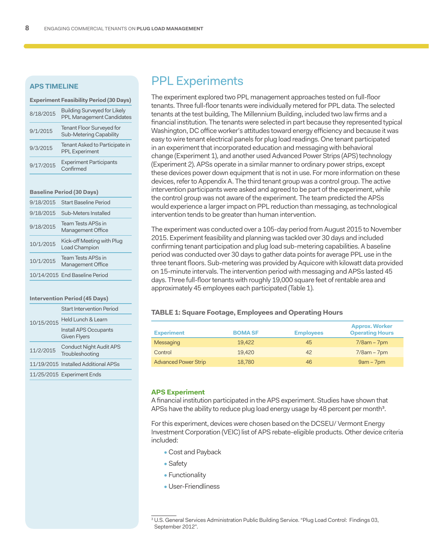#### **APS TIMELINE**

| <b>Experiment Feasibility Period (30 Days)</b> |                                                                  |  |  |
|------------------------------------------------|------------------------------------------------------------------|--|--|
| 8/18/2015                                      | <b>Building Surveyed for Likely</b><br>PPL Management Candidates |  |  |
| 9/1/2015                                       | Tenant Floor Surveyed for<br>Sub-Metering Capability             |  |  |
| 9/3/2015                                       | Tenant Asked to Participate in<br><b>PPL Experiment</b>          |  |  |
| 9/17/2015                                      | <b>Experiment Participants</b><br>Confirmed                      |  |  |

#### **Baseline Period (30 Days)**

| 9/18/2015 | Start Baseline Period                       |
|-----------|---------------------------------------------|
| 9/18/2015 | Sub-Meters Installed                        |
| 9/18/2015 | Team Tests APSs in<br>Management Office     |
| 10/1/2015 | Kick-off Meeting with Plug<br>Load Champion |
| 10/1/2015 | Team Tests APSs in<br>Management Office     |
|           | 10/14/2015 End Baseline Period              |

#### **Intervention Period (45 Days)**

|            | <b>Start Intervention Period</b>           |
|------------|--------------------------------------------|
| 10/15/2015 | Held Lunch & Learn                         |
|            | Install APS Occupants<br>Given Flyers      |
| 11/2/2015  | Conduct Night Audit APS<br>Troubleshooting |
|            | 11/19/2015 Installed Additional APSs       |
|            | 11/25/2015 Experiment Ends                 |

### PPL Experiments

The experiment explored two PPL management approaches tested on full-floor tenants. Three full-floor tenants were individually metered for PPL data. The selected tenants at the test building, The Millennium Building, included two law firms and a financial institution. The tenants were selected in part because they represented typical Washington, DC office worker's attitudes toward energy efficiency and because it was easy to wire tenant electrical panels for plug load readings. One tenant participated in an experiment that incorporated education and messaging with behavioral change (Experiment 1), and another used Advanced Power Strips (APS) technology (Experiment 2). APSs operate in a similar manner to ordinary power strips, except these devices power down equipment that is not in use. For more information on these devices, refer to Appendix A. The third tenant group was a control group. The active intervention participants were asked and agreed to be part of the experiment, while the control group was not aware of the experiment. The team predicted the APSs would experience a larger impact on PPL reduction than messaging, as technological intervention tends to be greater than human intervention.

The experiment was conducted over a 105-day period from August 2015 to November 2015. Experiment feasibility and planning was tackled over 30 days and included confirming tenant participation and plug load sub-metering capabilities. A baseline period was conducted over 30 days to gather data points for average PPL use in the three tenant floors. Sub-metering was provided by Aquicore with kilowatt data provided on 15-minute intervals. The intervention period with messaging and APSs lasted 45 days. Three full-floor tenants with roughly 19,000 square feet of rentable area and approximately 45 employees each participated (Table 1).

#### **TABLE 1: Square Footage, Employees and Operating Hours**

| <b>Experiment</b>           | <b>BOMA SF</b> | <b>Employees</b> | <b>Approx. Worker</b><br><b>Operating Hours</b> |
|-----------------------------|----------------|------------------|-------------------------------------------------|
| Messaging                   | 19.422         | 45               | $7/8$ am – $7$ pm                               |
| Control                     | 19,420         | 42               | $7/8$ am – $7$ pm                               |
| <b>Advanced Power Strip</b> | 18,780         | 46               | $9am - 7pm$                                     |

#### **APS Experiment**

A financial institution participated in the APS experiment. Studies have shown that APSs have the ability to reduce plug load energy usage by 48 percent per month<sup>3</sup>.

For this experiment, devices were chosen based on the DCSEU/ Vermont Energy Investment Corporation (VEIC) list of APS rebate-eligible products. Other device criteria included:

- Cost and Payback
- Safety
- Functionality
- User-Friendliness

<sup>&</sup>lt;sup>3</sup> U.S. General Services Administration Public Building Service. "Plug Load Control: Findings 03, September 2012".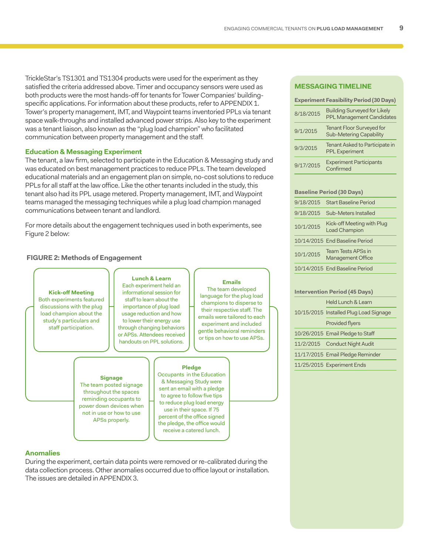TrickleStar's TS1301 and TS1304 products were used for the experiment as they satisfied the criteria addressed above. Timer and occupancy sensors were used as both products were the most hands-off for tenants for Tower Companies' buildingspecific applications. For information about these products, refer to APPENDIX 1. Tower's property management, IMT, and Waypoint teams inventoried PPLs via tenant space walk-throughs and installed advanced power strips. Also key to the experiment was a tenant liaison, also known as the "plug load champion" who facilitated communication between property management and the staff.

#### **Education & Messaging Experiment**

The tenant, a law firm, selected to participate in the Education & Messaging study and was educated on best management practices to reduce PPLs. The team developed educational materials and an engagement plan on simple, no-cost solutions to reduce PPLs for all staff at the law office. Like the other tenants included in the study, this tenant also had its PPL usage metered. Property management, IMT, and Waypoint teams managed the messaging techniques while a plug load champion managed communications between tenant and landlord.

For more details about the engagement techniques used in both experiments, see Figure 2 below:

#### **FIGURE 2: Methods of Engagement**

**Kick-off Meeting** Both experiments featured discussions with the plug load champion about the study's particulars and staff participation.

#### **Lunch & Learn** Each experiment held an informational session for staff to learn about the importance of plug load

usage reduction and how to lower their energy use through changing behaviors or APSs. Attendees received handouts on PPL solutions.

#### **Signage**

The team posted signage throughout the spaces reminding occupants to power down devices when not in use or how to use APSs properly.

### **Emails**

The team developed language for the plug load champions to disperse to their respective staff. The emails were tailored to each experiment and included gentle behavioral reminders or tips on how to use APSs.

#### **Pledge**

Occupants in the Education & Messaging Study were sent an email with a pledge to agree to follow five tips to reduce plug load energy use in their space. If 75 percent of the office signed the pledge, the office would receive a catered lunch.

#### **MESSAGING TIMELINE**

| <b>Experiment Feasibility Period (30 Days)</b>                     |  |  |  |
|--------------------------------------------------------------------|--|--|--|
| <b>Building Surveyed for Likely</b><br>PPL Management Candidates   |  |  |  |
| <b>Tenant Floor Surveyed for</b><br><b>Sub-Metering Capability</b> |  |  |  |
| Tenant Asked to Participate in<br><b>PPL Experiment</b>            |  |  |  |
| <b>Experiment Participants</b><br>Confirmed                        |  |  |  |
|                                                                    |  |  |  |

#### **Baseline Period (30 Days)**

| 9/18/2015 | Start Baseline Period                       |
|-----------|---------------------------------------------|
| 9/18/2015 | Sub-Meters Installed                        |
| 10/1/2015 | Kick-off Meeting with Plug<br>Load Champion |
|           | 10/14/2015 End Baseline Period              |
| 10/1/2015 | Team Tests APSs in<br>Management Office     |
|           | 10/14/2015 Fnd Baseline Period              |

#### **Intervention Period (45 Days)**

Held Lunch & Learn

10/15/2015 Installed Plug Load Signage

Provided flyers

10/26/2015 Email Pledge to Staff

11/2/2015 Conduct Night Audit

11/17/2015 Email Pledge Reminder

11/25/2015 Experiment Ends

#### **Anomalies**

During the experiment, certain data points were removed or re-calibrated during the data collection process. Other anomalies occurred due to office layout or installation. The issues are detailed in APPENDIX 3.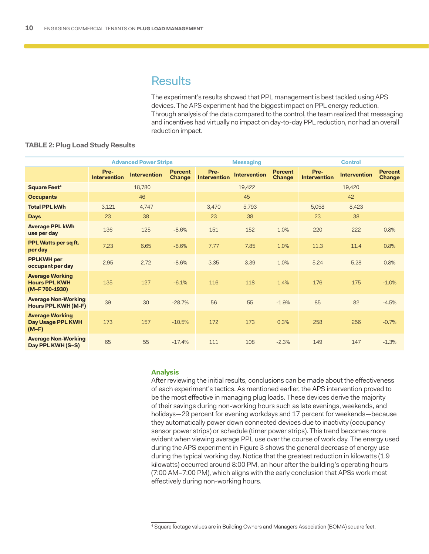### **Results**

The experiment's results showed that PPL management is best tackled using APS devices. The APS experiment had the biggest impact on PPL energy reduction. Through analysis of the data compared to the control, the team realized that messaging and incentives had virtually no impact on day-to-day PPL reduction, nor had an overall reduction impact.

#### **TABLE 2: Plug Load Study Results**

|                                                                  |                             | <b>Advanced Power Strips</b> |                                 |                             | <b>Messaging</b>    |                                 |                             | <b>Control</b>      |                                 |
|------------------------------------------------------------------|-----------------------------|------------------------------|---------------------------------|-----------------------------|---------------------|---------------------------------|-----------------------------|---------------------|---------------------------------|
|                                                                  | Pre-<br><b>Intervention</b> | <b>Intervention</b>          | <b>Percent</b><br><b>Change</b> | Pre-<br><b>Intervention</b> | <b>Intervention</b> | <b>Percent</b><br><b>Change</b> | Pre-<br><b>Intervention</b> | <b>Intervention</b> | <b>Percent</b><br><b>Change</b> |
| <b>Square Feet<sup>4</sup></b>                                   |                             | 18,780                       |                                 |                             | 19,422              |                                 |                             | 19,420              |                                 |
| <b>Occupants</b>                                                 |                             | 46                           |                                 |                             | 45                  |                                 |                             | 42                  |                                 |
| <b>Total PPL kWh</b>                                             | 3,121                       | 4,747                        |                                 | 3,470                       | 5,793               |                                 | 5,058                       | 8,423               |                                 |
| <b>Days</b>                                                      | 23                          | 38                           |                                 | 23                          | 38                  |                                 | 23                          | 38                  |                                 |
| <b>Average PPL kWh</b><br>use per day                            | 136                         | 125                          | $-8.6%$                         | 151                         | 152                 | 1.0%                            | 220                         | 222                 | 0.8%                            |
| PPL Watts per sq ft.<br>per day                                  | 7.23                        | 6.65                         | $-8.6%$                         | 7.77                        | 7.85                | 1.0%                            | 11.3                        | 11.4                | 0.8%                            |
| <b>PPLKWH</b> per<br>occupant per day                            | 2.95                        | 2.72                         | $-8.6%$                         | 3.35                        | 3.39                | 1.0%                            | 5.24                        | 5.28                | 0.8%                            |
| <b>Average Working</b><br><b>Hours PPL KWH</b><br>(M-F 700-1930) | 135                         | 127                          | $-6.1%$                         | 116                         | 118                 | 1.4%                            | 176                         | 175                 | $-1.0%$                         |
| <b>Average Non-Working</b><br>Hours PPL KWH (M-F)                | 39                          | 30                           | $-28.7%$                        | 56                          | 55                  | $-1.9%$                         | 85                          | 82                  | $-4.5%$                         |
| <b>Average Working</b><br>Day Usage PPL KWH<br>$(M-F)$           | 173                         | 157                          | $-10.5%$                        | 172                         | 173                 | 0.3%                            | 258                         | 256                 | $-0.7%$                         |
| <b>Average Non-Working</b><br>Day PPL KWH (S-S)                  | 65                          | 55                           | $-17.4%$                        | 111                         | 108                 | $-2.3%$                         | 149                         | 147                 | $-1.3%$                         |

#### **Analysis**

After reviewing the initial results, conclusions can be made about the effectiveness of each experiment's tactics. As mentioned earlier, the APS intervention proved to be the most effective in managing plug loads. These devices derive the majority of their savings during non-working hours such as late evenings, weekends, and holidays—29 percent for evening workdays and 17 percent for weekends—because they automatically power down connected devices due to inactivity (occupancy sensor power strips) or schedule (timer power strips). This trend becomes more evident when viewing average PPL use over the course of work day. The energy used during the APS experiment in Figure 3 shows the general decrease of energy use during the typical working day. Notice that the greatest reduction in kilowatts (1.9 kilowatts) occurred around 8:00 PM, an hour after the building's operating hours (7:00 AM–7:00 PM), which aligns with the early conclusion that APSs work most effectively during non-working hours.

<sup>4</sup> Square footage values are in Building Owners and Managers Association (BOMA) square feet.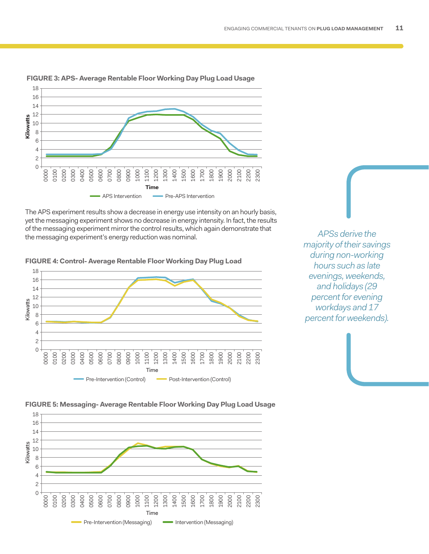

**FIGURE 3: APS- Average Rentable Floor Working Day Plug Load Usage**

The APS experiment results show a decrease in energy use intensity on an hourly basis, yet the messaging experiment shows no decrease in energy intensity. In fact, the results of the messaging experiment mirror the control results, which again demonstrate that the messaging experiment's energy reduction was nominal.

**FIGURE 4: Control- Average Rentable Floor Working Day Plug Load**



*APSs derive the majority of their savings during non-working hours such as late evenings, weekends, and holidays (29 percent for evening workdays and 17 percent for weekends).*



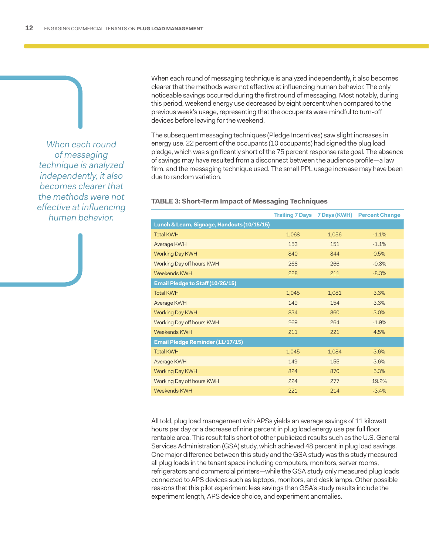*When each round of messaging technique is analyzed independently, it also becomes clearer that the methods were not effective at influencing human behavior.*

When each round of messaging technique is analyzed independently, it also becomes clearer that the methods were not effective at influencing human behavior. The only noticeable savings occurred during the first round of messaging. Most notably, during this period, weekend energy use decreased by eight percent when compared to the previous week's usage, representing that the occupants were mindful to turn-off devices before leaving for the weekend.

The subsequent messaging techniques (Pledge Incentives) saw slight increases in energy use. 22 percent of the occupants (10 occupants) had signed the plug load pledge, which was significantly short of the 75 percent response rate goal. The absence of savings may have resulted from a disconnect between the audience profile—a law firm, and the messaging technique used. The small PPL usage increase may have been due to random variation.

#### **TABLE 3: Short-Term Impact of Messaging Techniques**

|                                             |       |       | Trailing 7 Days 7 Days (KWH) Percent Change |
|---------------------------------------------|-------|-------|---------------------------------------------|
| Lunch & Learn, Signage, Handouts (10/15/15) |       |       |                                             |
| <b>Total KWH</b>                            | 1,068 | 1,056 | $-1.1%$                                     |
| Average KWH                                 | 153   | 151   | $-1.1%$                                     |
| <b>Working Day KWH</b>                      | 840   | 844   | 0.5%                                        |
| Working Day off hours KWH                   | 268   | 266   | $-0.8%$                                     |
| Weekends KWH                                | 228   | 211   | $-8.3%$                                     |
| Email Pledge to Staff (10/26/15)            |       |       |                                             |
| <b>Total KWH</b>                            | 1,045 | 1,081 | 3.3%                                        |
| Average KWH                                 | 149   | 154   | 3.3%                                        |
| <b>Working Day KWH</b>                      | 834   | 860   | 3.0%                                        |
| Working Day off hours KWH                   | 269   | 264   | $-1.9%$                                     |
| Weekends KWH                                | 211   | 221   | 4.5%                                        |
| Email Pledge Reminder (11/17/15)            |       |       |                                             |
| <b>Total KWH</b>                            | 1,045 | 1,084 | 3.6%                                        |
| Average KWH                                 | 149   | 155   | 3.6%                                        |
| <b>Working Day KWH</b>                      | 824   | 870   | 5.3%                                        |
| Working Day off hours KWH                   | 224   | 277   | 19.2%                                       |
| Weekends KWH                                | 221   | 214   | $-3.4%$                                     |

All told, plug load management with APSs yields an average savings of 11 kilowatt hours per day or a decrease of nine percent in plug load energy use per full floor rentable area. This result falls short of other publicized results such as the U.S. General Services Administration (GSA) study, which achieved 48 percent in plug load savings. One major difference between this study and the GSA study was this study measured all plug loads in the tenant space including computers, monitors, server rooms, refrigerators and commercial printers—while the GSA study only measured plug loads connected to APS devices such as laptops, monitors, and desk lamps. Other possible reasons that this pilot experiment less savings than GSA's study results include the experiment length, APS device choice, and experiment anomalies.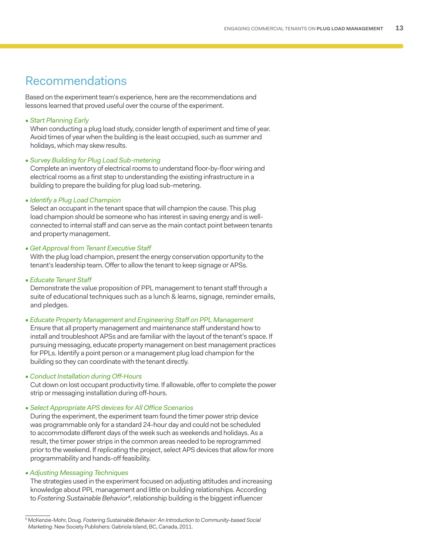### Recommendations

Based on the experiment team's experience, here are the recommendations and lessons learned that proved useful over the course of the experiment.

#### • *Start Planning Early*

When conducting a plug load study, consider length of experiment and time of year. Avoid times of year when the building is the least occupied, such as summer and holidays, which may skew results.

#### • *Survey Building for Plug Load Sub-metering*

Complete an inventory of electrical rooms to understand floor-by-floor wiring and electrical rooms as a first step to understanding the existing infrastructure in a building to prepare the building for plug load sub-metering.

#### • *Identify a Plug Load Champion*

Select an occupant in the tenant space that will champion the cause. This plug load champion should be someone who has interest in saving energy and is wellconnected to internal staff and can serve as the main contact point between tenants and property management.

#### • *Get Approval from Tenant Executive Staff*

With the plug load champion, present the energy conservation opportunity to the tenant's leadership team. Offer to allow the tenant to keep signage or APSs.

#### • *Educate Tenant Staff*

Demonstrate the value proposition of PPL management to tenant staff through a suite of educational techniques such as a lunch & learns, signage, reminder emails, and pledges.

#### • *Educate Property Management and Engineering Staff on PPL Management*

Ensure that all property management and maintenance staff understand how to install and troubleshoot APSs and are familiar with the layout of the tenant's space. If pursuing messaging, educate property management on best management practices for PPLs. Identify a point person or a management plug load champion for the building so they can coordinate with the tenant directly.

#### • *Conduct Installation during Off-Hours*

Cut down on lost occupant productivity time. If allowable, offer to complete the power strip or messaging installation during off-hours.

#### • *Select Appropriate APS devices for All Office Scenarios*

During the experiment, the experiment team found the timer power strip device was programmable only for a standard 24-hour day and could not be scheduled to accommodate different days of the week such as weekends and holidays. As a result, the timer power strips in the common areas needed to be reprogrammed prior to the weekend. If replicating the project, select APS devices that allow for more programmability and hands-off feasibility.

#### • *Adjusting Messaging Techniques*

The strategies used in the experiment focused on adjusting attitudes and increasing knowledge about PPL management and little on building relationships. According to *Fostering Sustainable Behavior5*, relationship building is the biggest influencer

<sup>5</sup> McKenzie-Mohr, Doug. *Fostering Sustainable Behavior: An Introduction to Community-based Social Marketing*. New Society Publishers: Gabriola Island, BC, Canada, 2011.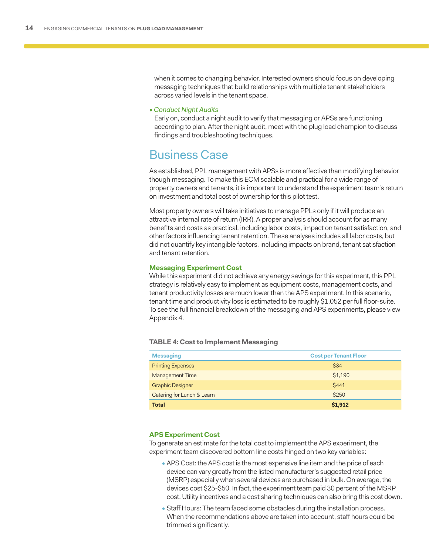when it comes to changing behavior. Interested owners should focus on developing messaging techniques that build relationships with multiple tenant stakeholders across varied levels in the tenant space.

#### • *Conduct Night Audits*

Early on, conduct a night audit to verify that messaging or APSs are functioning according to plan. After the night audit, meet with the plug load champion to discuss findings and troubleshooting techniques.

### Business Case

As established, PPL management with APSs is more effective than modifying behavior though messaging. To make this ECM scalable and practical for a wide range of property owners and tenants, it is important to understand the experiment team's return on investment and total cost of ownership for this pilot test.

Most property owners will take initiatives to manage PPLs only if it will produce an attractive internal rate of return (IRR). A proper analysis should account for as many benefits and costs as practical, including labor costs, impact on tenant satisfaction, and other factors influencing tenant retention. These analyses includes all labor costs, but did not quantify key intangible factors, including impacts on brand, tenant satisfaction and tenant retention.

#### **Messaging Experiment Cost**

While this experiment did not achieve any energy savings for this experiment, this PPL strategy is relatively easy to implement as equipment costs, management costs, and tenant productivity losses are much lower than the APS experiment. In this scenario, tenant time and productivity loss is estimated to be roughly \$1,052 per full floor-suite. To see the full financial breakdown of the messaging and APS experiments, please view Appendix 4.

| <b>Messaging</b>           | <b>Cost per Tenant Floor</b> |
|----------------------------|------------------------------|
| <b>Printing Expenses</b>   | \$34                         |
| Management Time            | \$1,190                      |
| <b>Graphic Designer</b>    | \$441                        |
| Catering for Lunch & Learn | \$250                        |
| <b>Total</b>               | \$1,912                      |

#### **TABLE 4: Cost to Implement Messaging**

#### **APS Experiment Cost**

To generate an estimate for the total cost to implement the APS experiment, the experiment team discovered bottom line costs hinged on two key variables:

- APS Cost: the APS cost is the most expensive line item and the price of each device can vary greatly from the listed manufacturer's suggested retail price (MSRP) especially when several devices are purchased in bulk. On average, the devices cost \$25-\$50. In fact, the experiment team paid 30 percent of the MSRP cost. Utility incentives and a cost sharing techniques can also bring this cost down.
- Staff Hours: The team faced some obstacles during the installation process. When the recommendations above are taken into account, staff hours could be trimmed significantly.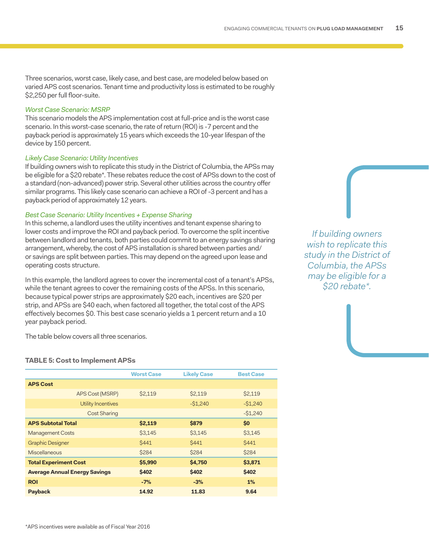Three scenarios, worst case, likely case, and best case, are modeled below based on varied APS cost scenarios. Tenant time and productivity loss is estimated to be roughly \$2,250 per full floor-suite.

#### *Worst Case Scenario: MSRP*

This scenario models the APS implementation cost at full-price and is the worst case scenario. In this worst-case scenario, the rate of return (ROI) is -7 percent and the payback period is approximately 15 years which exceeds the 10-year lifespan of the device by 150 percent.

#### *Likely Case Scenario: Utility Incentives*

If building owners wish to replicate this study in the District of Columbia, the APSs may be eligible for a \$20 rebate\*. These rebates reduce the cost of APSs down to the cost of a standard (non-advanced) power strip. Several other utilities across the country offer similar programs. This likely case scenario can achieve a ROI of -3 percent and has a payback period of approximately 12 years.

#### *Best Case Scenario: Utility Incentives + Expense Sharing*

In this scheme, a landlord uses the utility incentives and tenant expense sharing to lower costs and improve the ROI and payback period. To overcome the split incentive between landlord and tenants, both parties could commit to an energy savings sharing arrangement, whereby, the cost of APS installation is shared between parties and/ or savings are split between parties. This may depend on the agreed upon lease and operating costs structure.

In this example, the landlord agrees to cover the incremental cost of a tenant's APSs, while the tenant agrees to cover the remaining costs of the APSs. In this scenario, because typical power strips are approximately \$20 each, incentives are \$20 per strip, and APSs are \$40 each, when factored all together, the total cost of the APS effectively becomes \$0. This best case scenario yields a 1 percent return and a 10 year payback period.

The table below covers all three scenarios.

#### **TABLE 5: Cost to Implement APSs**

|                                      | <b>Worst Case</b> | <b>Likely Case</b> | <b>Best Case</b> |
|--------------------------------------|-------------------|--------------------|------------------|
| <b>APS Cost</b>                      |                   |                    |                  |
| APS Cost (MSRP)                      | \$2,119           | \$2,119            | \$2,119          |
| Utility Incentives                   |                   | $-$1,240$          | $-$1,240$        |
| <b>Cost Sharing</b>                  |                   |                    | $-$1,240$        |
| <b>APS Subtotal Total</b>            | \$2,119           | <b>\$879</b>       | \$0              |
| <b>Management Costs</b>              | \$3,145           | \$3,145            | \$3,145          |
| <b>Graphic Designer</b>              | <b>\$441</b>      | <b>\$441</b>       | <b>\$441</b>     |
| Miscellaneous                        | \$284             | \$284              | \$284            |
| <b>Total Experiment Cost</b>         | \$5,990           | \$4,750            | \$3,871          |
| <b>Average Annual Energy Savings</b> | <b>\$402</b>      | <b>\$402</b>       | <b>\$402</b>     |
| <b>ROI</b>                           | $-7%$             | $-3%$              | 1%               |
| <b>Payback</b>                       | 14.92             | 11.83              | 9.64             |
|                                      |                   |                    |                  |

*If building owners wish to replicate this study in the District of Columbia, the APSs may be eligible for a \$20 rebate\*.*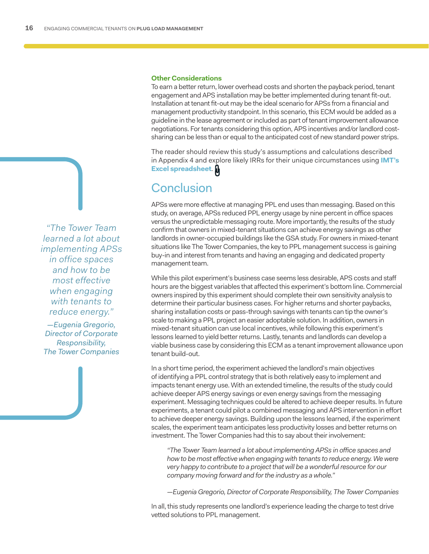*"The Tower Team learned a lot about implementing APSs in office spaces and how to be most effective when engaging with tenants to reduce energy."*

*—Eugenia Gregorio, Director of Corporate Responsibility, The Tower Companies*

#### **Other Considerations**

To earn a better return, lower overhead costs and shorten the payback period, tenant engagement and APS installation may be better implemented during tenant fit-out. Installation at tenant fit-out may be the ideal scenario for APSs from a financial and management productivity standpoint. In this scenario, this ECM would be added as a guideline in the lease agreement or included as part of tenant improvement allowance negotiations. For tenants considering this option, APS incentives and/or landlord costsharing can be less than or equal to the anticipated cost of new standard power strips.

The reader should review this study's assumptions and calculations described in Appendix 4 and explore likely IRRs for their unique circumstances using **IMT's Excel spreadsheet**.

## **Conclusion**

APSs were more effective at managing PPL end uses than messaging. Based on this study, on average, APSs reduced PPL energy usage by nine percent in office spaces versus the unpredictable messaging route. More importantly, the results of the study confirm that owners in mixed-tenant situations can achieve energy savings as other landlords in owner-occupied buildings like the GSA study. For owners in mixed-tenant situations like The Tower Companies, the key to PPL management success is gaining buy-in and interest from tenants and having an engaging and dedicated property management team.

While this pilot experiment's business case seems less desirable, APS costs and staff hours are the biggest variables that affected this experiment's bottom line. Commercial owners inspired by this experiment should complete their own sensitivity analysis to determine their particular business cases. For higher returns and shorter paybacks, sharing installation costs or pass-through savings with tenants can tip the owner's scale to making a PPL project an easier adoptable solution. In addition, owners in mixed-tenant situation can use local incentives, while following this experiment's lessons learned to yield better returns. Lastly, tenants and landlords can develop a viable business case by considering this ECM as a tenant improvement allowance upon tenant build-out.

In a short time period, the experiment achieved the landlord's main objectives of identifying a PPL control strategy that is both relatively easy to implement and impacts tenant energy use. With an extended timeline, the results of the study could achieve deeper APS energy savings or even energy savings from the messaging experiment. Messaging techniques could be altered to achieve deeper results. In future experiments, a tenant could pilot a combined messaging and APS intervention in effort to achieve deeper energy savings. Building upon the lessons learned, if the experiment scales, the experiment team anticipates less productivity losses and better returns on investment. The Tower Companies had this to say about their involvement:

*"The Tower Team learned a lot about implementing APSs in office spaces and*  how to be most effective when engaging with tenants to reduce energy. We were *very happy to contribute to a project that will be a wonderful resource for our company moving forward and for the industry as a whole."*

*—Eugenia Gregorio, Director of Corporate Responsibility, The Tower Companies*

In all, this study represents one landlord's experience leading the charge to test drive vetted solutions to PPL management.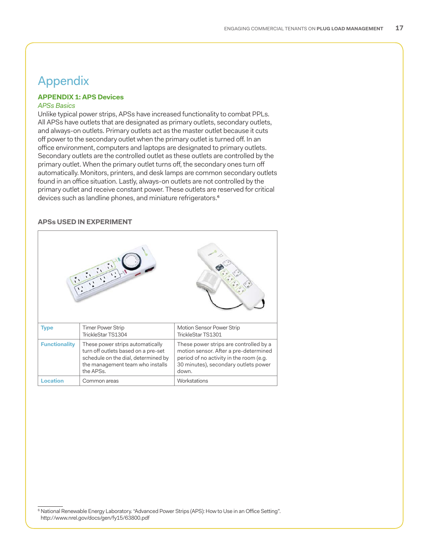### Appendix

#### **APPENDIX 1: APS Devices** *APSs Basics*

Unlike typical power strips, APSs have increased functionality to combat PPLs. All APSs have outlets that are designated as primary outlets, secondary outlets, and always-on outlets. Primary outlets act as the master outlet because it cuts off power to the secondary outlet when the primary outlet is turned off. In an office environment, computers and laptops are designated to primary outlets. Secondary outlets are the controlled outlet as these outlets are controlled by the primary outlet. When the primary outlet turns off, the secondary ones turn off automatically. Monitors, printers, and desk lamps are common secondary outlets found in an office situation. Lastly, always-on outlets are not controlled by the primary outlet and receive constant power. These outlets are reserved for critical devices such as landline phones, and miniature refrigerators.<sup>6</sup>

### **Type** Timer Power Strip TrickleStar TS1304 Motion Sensor Power Strip TrickleStar TS1301 **Functionality** These power strips automatically turn off outlets based on a pre-set schedule on the dial, determined by the management team who installs the APSs. These power strips are controlled by a motion sensor. After a pre-determined period of no activity in the room (e.g. 30 minutes), secondary outlets power down. **Location** Common areas Workstations

#### **APSs USED IN EXPERIMENT**

<sup>6</sup> National Renewable Energy Laboratory. "Advanced Power Strips (APS): How to Use in an Office Setting". http://www.nrel.gov/docs/gen/fy15/63800.pdf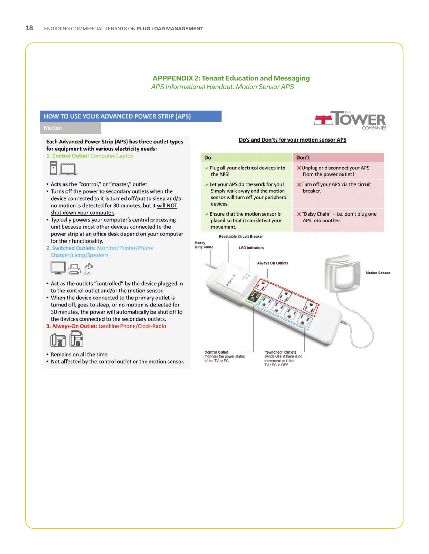#### **APPPENDIX 2: Tenant Education and Messaging** APS Informational Handout: Motion Sensor APS

#### HOW TO USE YOUR ADVANCED POWER STRIP (APS)

Each Advanced Power Strip (APS) has three outlet types for equipment with various electricity needs: 1. Control Outlet: Computer/Laptop



- Acts as the "control," or "master," outlet.
- Turns off the power to secondary outlets when the device connected to it is turned off/put to sleep and/or no motion is detected for 30 minutes, but it will NOT shut down your computer.
- Typically powers your computer's central processing unit because most other devices connected to the power strip at an office desk depend on your computer for their functionality.
- 2. Switched Outlets: Monitor/Printer/Phone Charger/Lamp/Speakers



- Act as the outlets "controlled" by the device plugged in to the control outlet and/or the motion sensor.
- When the device connected to the primary outlet is turned off, goes to sleep, or no motion is detected for 30 minutes, the power will automatically be shut off to the devices connected to the secondary outlets.
- 3. Always-On Outlet: Landline Phone/Clock-Radio



- Remains on all the time
- Not affected by the control outlet or the motion sensor.



#### Do's and Don'ts for your motion sensor APS

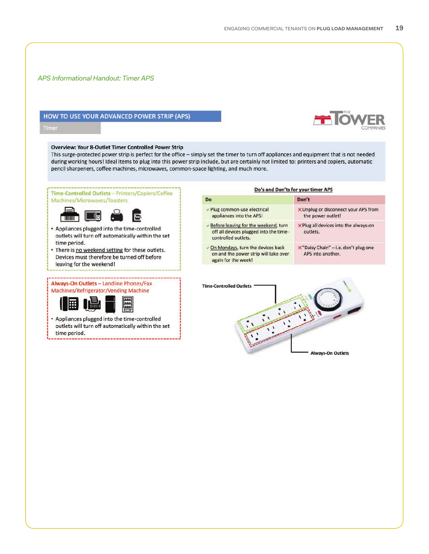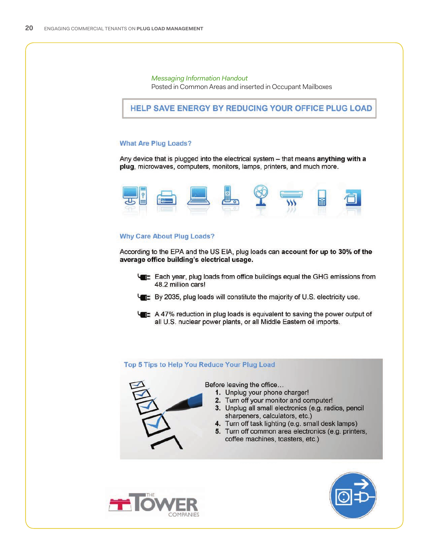**Messaging Information Handout** Posted in Common Areas and inserted in Occupant Mailboxes

### HELP SAVE ENERGY BY REDUCING YOUR OFFICE PLUG LOAD

#### **What Are Plug Loads?**

Any device that is plugged into the electrical system - that means anything with a plug, microwaves, computers, monitors, lamps, printers, and much more.



#### **Why Care About Plug Loads?**

According to the EPA and the US EIA, plug loads can account for up to 30% of the average office building's electrical usage.

- Each year, plug loads from office buildings equal the GHG emissions from 48.2 million cars!
- By 2035, plug loads will constitute the majority of U.S. electricity use.
- A 47% reduction in plug loads is equivalent to saving the power output of all U.S. nuclear power plants, or all Middle Eastern oil imports.

#### Top 5 Tips to Help You Reduce Your Plug Load



Before leaving the office...

- 1. Unplug your phone charger!
- 2. Turn off your monitor and computer!
- 3. Unplug all small electronics (e.g. radios, pencil sharpeners, calculators, etc.)
- 4. Turn off task lighting (e.g. small desk lamps)
- 5. Turn off common area electronics (e.g. printers, coffee machines, toasters, etc.)



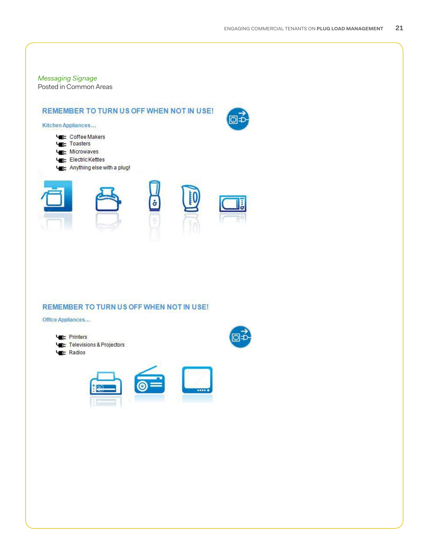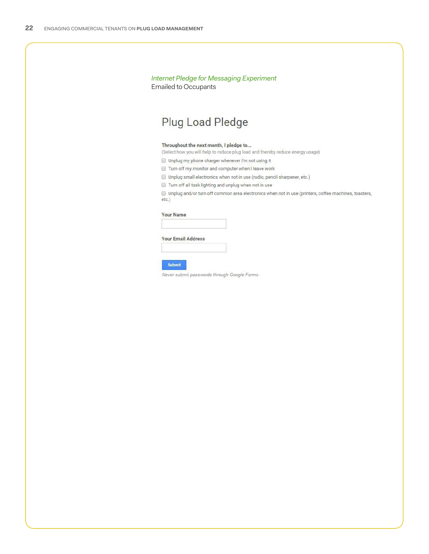#### **Internet Pledge for Messaging Experiment** Emailed to Occupants

### Plug Load Pledge

#### Throughout the next month, I pledge to...

(Select how you will help to reduce plug load and thereby reduce energy usage)

- Unplug my phone charger whenever I'm not using it
- Turn off my monitor and computer when I leave work
- Unplug small electronics when not in use (radio, pencil sharpener, etc.)
- Turn off all task lighting and unplug when not in use

Unplug and/or turn off common area electronics when not in use (printers, coffee machines, toasters, etc.)

#### **Your Name**

#### **Your Email Address**

Submit

Never submit passwords through Google Forms.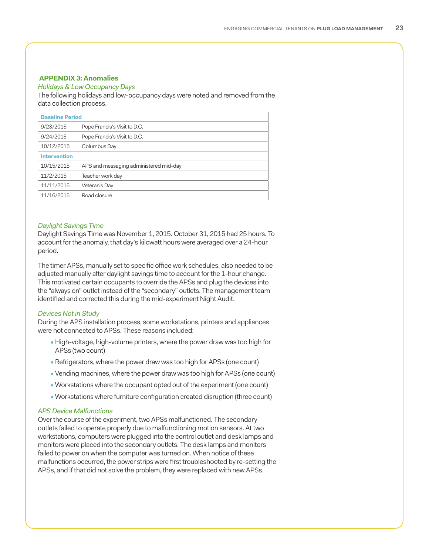#### **APPENDIX 3: Anomalies**

#### *Holidays & Low Occupancy Days*

The following holidays and low-occupancy days were noted and removed from the data collection process.

| <b>Baseline Period</b>                               |                              |  |  |  |
|------------------------------------------------------|------------------------------|--|--|--|
| 9/23/2015                                            | Pope Francis's Visit to D.C. |  |  |  |
| 9/24/2015                                            | Pope Francis's Visit to D.C. |  |  |  |
| 10/12/2015<br>Columbus Day                           |                              |  |  |  |
| <b>Intervention</b>                                  |                              |  |  |  |
| APS and messaging administered mid-day<br>10/15/2015 |                              |  |  |  |
| 11/2/2015                                            | Teacher work day             |  |  |  |
| 11/11/2015                                           | Veteran's Day                |  |  |  |
| 11/16/2015                                           | Road closure                 |  |  |  |

#### *Daylight Savings Time*

Daylight Savings Time was November 1, 2015. October 31, 2015 had 25 hours. To account for the anomaly, that day's kilowatt hours were averaged over a 24-hour period.

The timer APSs, manually set to specific office work schedules, also needed to be adjusted manually after daylight savings time to account for the 1-hour change. This motivated certain occupants to override the APSs and plug the devices into the "always on" outlet instead of the "secondary" outlets. The management team identified and corrected this during the mid-experiment Night Audit.

#### *Devices Not in Study*

During the APS installation process, some workstations, printers and appliances were not connected to APSs. These reasons included:

- High-voltage, high-volume printers, where the power draw was too high for APSs (two count)
- Refrigerators, where the power draw was too high for APSs (one count)
- Vending machines, where the power draw was too high for APSs (one count)
- Workstations where the occupant opted out of the experiment (one count)
- Workstations where furniture configuration created disruption (three count)

#### *APS Device Malfunctions*

Over the course of the experiment, two APSs malfunctioned. The secondary outlets failed to operate properly due to malfunctioning motion sensors. At two workstations, computers were plugged into the control outlet and desk lamps and monitors were placed into the secondary outlets. The desk lamps and monitors failed to power on when the computer was turned on. When notice of these malfunctions occurred, the power strips were first troubleshooted by re-setting the APSs, and if that did not solve the problem, they were replaced with new APSs.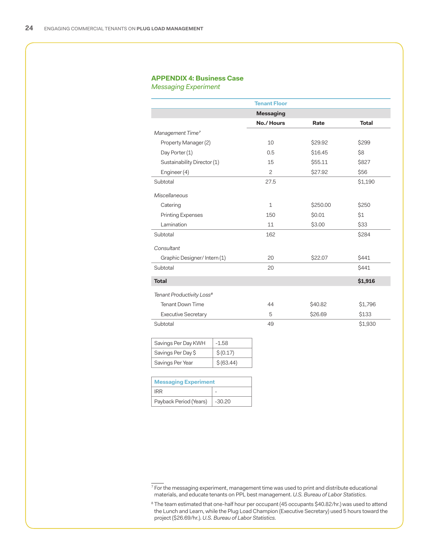### **APPENDIX 4: Business Case**

*Messaging Experiment*

| <b>Tenant Floor</b>                   |                  |          |              |
|---------------------------------------|------------------|----------|--------------|
|                                       | <b>Messaging</b> |          |              |
|                                       | No./Hours        | Rate     | <b>Total</b> |
| Management Time <sup>7</sup>          |                  |          |              |
| Property Manager (2)                  | 10               | \$29.92  | \$299        |
| Day Porter (1)                        | 0.5              | \$16.45  | \$8          |
| Sustainability Director (1)           | 15               | \$55.11  | \$827        |
| Engineer (4)                          | $\overline{c}$   | \$27.92  | \$56         |
| Subtotal                              | 27.5             |          | \$1,190      |
| Miscellaneous                         |                  |          |              |
| Catering                              | $\mathbf{1}$     | \$250.00 | \$250        |
| Printing Expenses                     | 150              | \$0.01   | \$1          |
| Lamination                            | 11               | \$3.00   | \$33         |
| Subtotal                              | 162              |          | \$284        |
| Consultant                            |                  |          |              |
| Graphic Designer/Intern(1)            | 20               | \$22.07  | \$441        |
| Subtotal                              | 20               |          | \$441        |
| <b>Total</b>                          |                  |          | \$1,916      |
| Tenant Productivity Loss <sup>8</sup> |                  |          |              |
| <b>Tenant Down Time</b>               | 44               | \$40.82  | \$1,796      |
| <b>Executive Secretary</b>            | 5                | \$26.69  | \$133        |
| Subtotal                              | 49               |          | \$1,930      |
|                                       |                  |          |              |
| Savings Per Day KWH<br>$-1.58$        |                  |          |              |

| Savings Per Day KWH         | $-1.58$    |  |  |
|-----------------------------|------------|--|--|
| Savings Per Day \$          | \$ (0.17)  |  |  |
| Savings Per Year            | \$ (63.44) |  |  |
|                             |            |  |  |
|                             |            |  |  |
| <b>Messaging Experiment</b> |            |  |  |
| <b>IRR</b>                  |            |  |  |

| <b>Messaging Experiment</b> |          |  |
|-----------------------------|----------|--|
| IRR.                        |          |  |
| Payback Period (Years)      | $-30.20$ |  |

 $7$  For the messaging experiment, management time was used to print and distribute educational materials, and educate tenants on PPL best management. *U.S. Bureau of Labor Statistics*.

<sup>&</sup>lt;sup>8</sup> The team estimated that one-half hour per occupant (45 occupants \$40.82/hr.) was used to attend the Lunch and Learn, while the Plug Load Champion (Executive Secretary) used 5 hours toward the project (\$26.69/hr.). *U.S. Bureau of Labor Statistics.*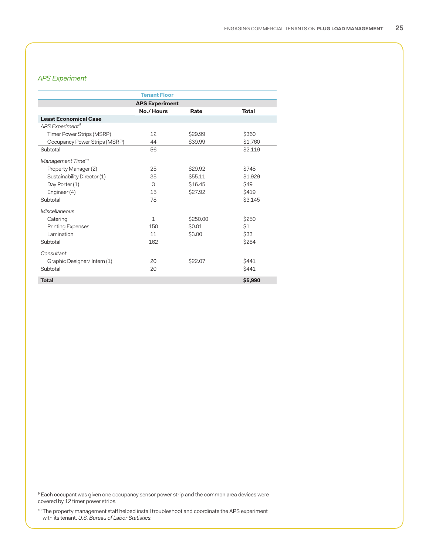### *APS Experiment*

|                               | <b>Tenant Floor</b>   |               |              |
|-------------------------------|-----------------------|---------------|--------------|
|                               | <b>APS Experiment</b> |               |              |
|                               | No./Hours             | Rate          | <b>Total</b> |
| <b>Least Economical Case</b>  |                       |               |              |
| APS Experiment <sup>9</sup>   |                       |               |              |
| Timer Power Strips (MSRP)     | 12                    | \$29.99       | \$360        |
| Occupancy Power Strips (MSRP) | 44                    | \$39.99       | \$1,760      |
| Subtotal                      | 56                    |               | \$2,119      |
| Management Time <sup>10</sup> |                       |               |              |
| Property Manager (2)          | 25                    | \$29.92       | \$748        |
| Sustainability Director (1)   | 35                    | \$55.11       | \$1,929      |
| Day Porter (1)                | 3                     | \$16.45       | <b>\$49</b>  |
| Engineer (4)                  | 15                    | \$27.92       | \$419        |
| Subtotal                      | 78                    |               | \$3,145      |
| Miscellaneous                 |                       |               |              |
| Catering                      | 1                     | \$250.00      | \$250        |
| Printing Expenses             | 150                   | <b>\$0.01</b> | \$1          |
| Lamination                    | 11                    | \$3.00        | \$33         |
| Subtotal                      | 162                   |               | \$284        |
| Consultant                    |                       |               |              |
| Graphic Designer/Intern(1)    | 20                    | \$22.07       | \$441        |
| Subtotal                      | 20                    |               | \$441        |
| <b>Total</b>                  |                       |               | \$5,990      |

 $^{\rm 9}$  Each occupant was given one occupancy sensor power strip and the common area devices were covered by 12 timer power strips.

<sup>10</sup> The property management staff helped install troubleshoot and coordinate the APS experiment with its tenant. *U.S. Bureau of Labor Statistics.*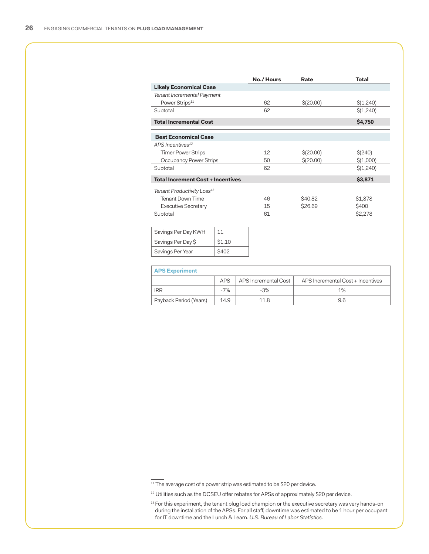|                                          |            |       | No./Hours            | Rate                              | <b>Total</b> |
|------------------------------------------|------------|-------|----------------------|-----------------------------------|--------------|
| <b>Likely Economical Case</b>            |            |       |                      |                                   |              |
| Tenant Incremental Payment               |            |       |                      |                                   |              |
| Power Strips <sup>11</sup>               |            |       | 62                   | $$$ (20.00)                       | \$(1,240)    |
| Subtotal                                 |            |       | 62                   |                                   | \$(1,240)    |
| <b>Total Incremental Cost</b>            |            |       |                      |                                   | \$4,750      |
| <b>Best Economical Case</b>              |            |       |                      |                                   |              |
| APS Incentives <sup>12</sup>             |            |       |                      |                                   |              |
| <b>Timer Power Strips</b>                |            |       | 12                   | \$(20.00)                         | $$^{(240)}$  |
| Occupancy Power Strips                   |            |       | 50                   | $$$ (20.00)                       | \$(1,000)    |
| Subtotal                                 |            |       | 62                   |                                   | \$(1,240)    |
| <b>Total Increment Cost + Incentives</b> |            |       |                      |                                   | \$3,871      |
| Tenant Productivity Loss <sup>13</sup>   |            |       |                      |                                   |              |
| <b>Tenant Down Time</b>                  |            |       | 46                   | \$40.82                           | \$1,878      |
| <b>Executive Secretary</b>               |            | 15    | \$26.69              | \$400                             |              |
| Subtotal                                 |            |       | 61                   |                                   | \$2,278      |
| Savings Per Day KWH                      | 11         |       |                      |                                   |              |
| \$1.10<br>Savings Per Day \$             |            |       |                      |                                   |              |
| <b>\$402</b><br>Savings Per Year         |            |       |                      |                                   |              |
|                                          |            |       |                      |                                   |              |
| <b>APS Experiment</b>                    |            |       |                      |                                   |              |
|                                          | <b>APS</b> |       | APS Incremental Cost | APS Incremental Cost + Incentives |              |
| <b>IRR</b>                               | $-7%$      | $-3%$ |                      | $1\%$                             |              |
| Payback Period (Years)<br>14.9           |            | 11.8  | 9.6                  |                                   |              |

 $\overline{11}$  The average cost of a power strip was estimated to be \$20 per device.

<sup>&</sup>lt;sup>12</sup> Utilities such as the DCSEU offer rebates for APSs of approximately \$20 per device.

<sup>&</sup>lt;sup>13</sup> For this experiment, the tenant plug load champion or the executive secretary was very hands-on during the installation of the APSs. For all staff, downtime was estimated to be 1 hour per occupant for IT downtime and the Lunch & Learn. *U.S. Bureau of Labor Statistics.*